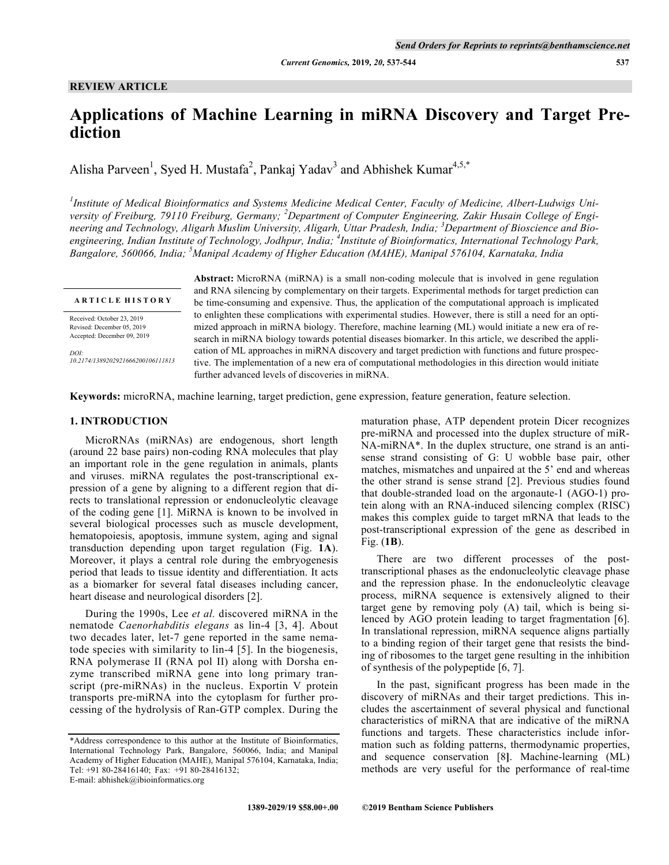#### **REVIEW ARTICLE**

# **Applications of Machine Learning in miRNA Discovery and Target Prediction**

Alisha Parveen<sup>1</sup>, Syed H. Mustafa<sup>2</sup>, Pankaj Yadav<sup>3</sup> and Abhishek Kumar<sup>4,5,\*</sup>

<sup>1</sup> Institute of Medical Bioinformatics and Systems Medicine Medical Center, Faculty of Medicine, Albert-Ludwigs University of Freiburg, 79110 Freiburg, Germany; <sup>2</sup>Department of Computer Engineering, Zakir Husain College of Engineering and Technology, Aligarh Muslim University, Aligarh, Uttar Pradesh, India; <sup>3</sup>Department of Bioscience and Bioengineering, Indian Institute of Technology, Jodhpur, India; <sup>4</sup>Institute of Bioinformatics, International Technology Park, *Bangalore, 560066, India; <sup>5</sup>Manipal Academy of Higher Education (MAHE), Manipal 576104, Karnataka, India*

**A R T I C L E H I S T O R Y**

Received: October 23, 2019 Revised: December 05, 2019 Accepted: December 09, 2019

*DOI: 10.2174/1389202921666200106111813* **Abstract:** MicroRNA (miRNA) is a small non-coding molecule that is involved in gene regulation and RNA silencing by complementary on their targets. Experimental methods for target prediction can be time-consuming and expensive. Thus, the application of the computational approach is implicated to enlighten these complications with experimental studies. However, there is still a need for an optimized approach in miRNA biology. Therefore, machine learning (ML) would initiate a new era of research in miRNA biology towards potential diseases biomarker. In this article, we described the application of ML approaches in miRNA discovery and target prediction with functions and future prospective. The implementation of a new era of computational methodologies in this direction would initiate further advanced levels of discoveries in miRNA.

**Keywords:** microRNA, machine learning, target prediction, gene expression, feature generation, feature selection.

## **1. INTRODUCTION**

MicroRNAs (miRNAs) are endogenous, short length (around 22 base pairs) non-coding RNA molecules that play an important role in the gene regulation in animals, plants and viruses. miRNA regulates the post-transcriptional expression of a gene by aligning to a different region that directs to translational repression or endonucleolytic cleavage of the coding gene [1]. MiRNA is known to be involved in several biological processes such as muscle development, hematopoiesis, apoptosis, immune system, aging and signal transduction depending upon target regulation (Fig. **1A**). Moreover, it plays a central role during the embryogenesis period that leads to tissue identity and differentiation. It acts as a biomarker for several fatal diseases including cancer, heart disease and neurological disorders [2].

During the 1990s, Lee *et al.* discovered miRNA in the nematode *Caenorhabditis elegans* as lin-4 [3, 4]. About two decades later, let-7 gene reported in the same nematode species with similarity to lin-4 [5]. In the biogenesis, RNA polymerase II (RNA pol II) along with Dorsha enzyme transcribed miRNA gene into long primary transcript (pre-miRNAs) in the nucleus. Exportin V protein transports pre-miRNA into the cytoplasm for further processing of the hydrolysis of Ran-GTP complex. During the

E-mail: abhishek@ibioinformatics.org

maturation phase, ATP dependent protein Dicer recognizes pre-miRNA and processed into the duplex structure of miR-NA-miRNA\*. In the duplex structure, one strand is an antisense strand consisting of G: U wobble base pair, other matches, mismatches and unpaired at the 5' end and whereas the other strand is sense strand [2]. Previous studies found that double-stranded load on the argonaute-1 (AGO-1) protein along with an RNA-induced silencing complex (RISC) makes this complex guide to target mRNA that leads to the post-transcriptional expression of the gene as described in Fig. (**1B**).

There are two different processes of the posttranscriptional phases as the endonucleolytic cleavage phase and the repression phase. In the endonucleolytic cleavage process, miRNA sequence is extensively aligned to their target gene by removing poly (A) tail, which is being silenced by AGO protein leading to target fragmentation [6]. In translational repression, miRNA sequence aligns partially to a binding region of their target gene that resists the binding of ribosomes to the target gene resulting in the inhibition of synthesis of the polypeptide [6, 7].

In the past, significant progress has been made in the discovery of miRNAs and their target predictions. This includes the ascertainment of several physical and functional characteristics of miRNA that are indicative of the miRNA functions and targets. These characteristics include information such as folding patterns, thermodynamic properties, and sequence conservation [8**]**. Machine-learning (ML) methods are very useful for the performance of real-time

<sup>\*</sup>Address correspondence to this author at the Institute of Bioinformatics, International Technology Park, Bangalore, 560066, India; and Manipal Academy of Higher Education (MAHE), Manipal 576104, Karnataka, India; Tel: +91 80-28416140; Fax: +91 80-28416132;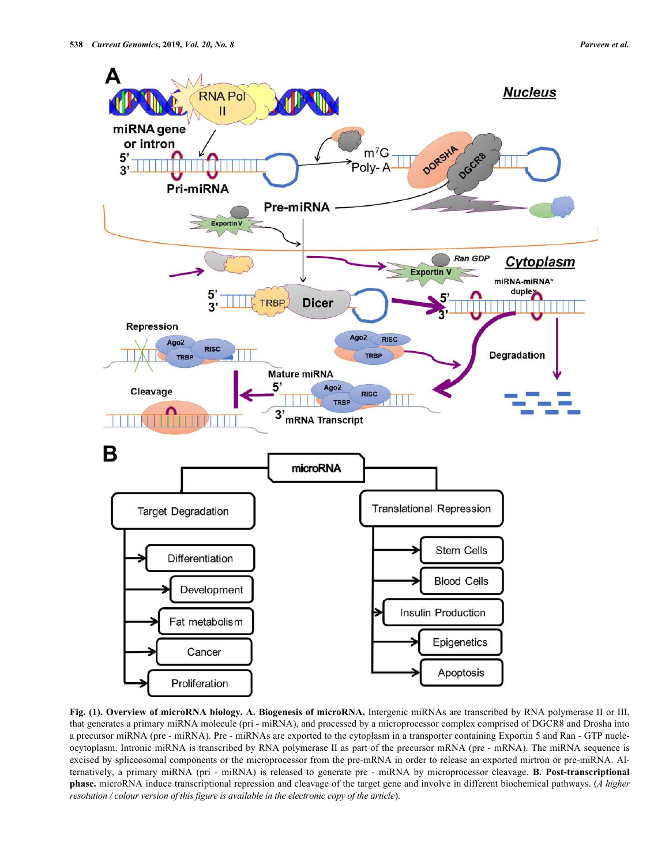

**Fig. (1). Overview of microRNA biology. A. Biogenesis of microRNA.** Intergenic miRNAs are transcribed by RNA polymerase II or III, that generates a primary miRNA molecule (pri - miRNA), and processed by a microprocessor complex comprised of DGCR8 and Drosha into a precursor miRNA (pre - miRNA). Pre - miRNAs are exported to the cytoplasm in a transporter containing Exportin 5 and Ran - GTP nucleocytoplasm. Intronic miRNA is transcribed by RNA polymerase II as part of the precursor mRNA (pre - mRNA). The miRNA sequence is excised by spliceosomal components or the microprocessor from the pre-mRNA in order to release an exported mirtron or pre-miRNA. Alternatively, a primary miRNA (pri - miRNA) is released to generate pre - miRNA by microprocessor cleavage. **B. Post-transcriptional phase.** microRNA induce transcriptional repression and cleavage of the target gene and involve in different biochemical pathways. (*A higher resolution / colour version of this figure is available in the electronic copy of the article*).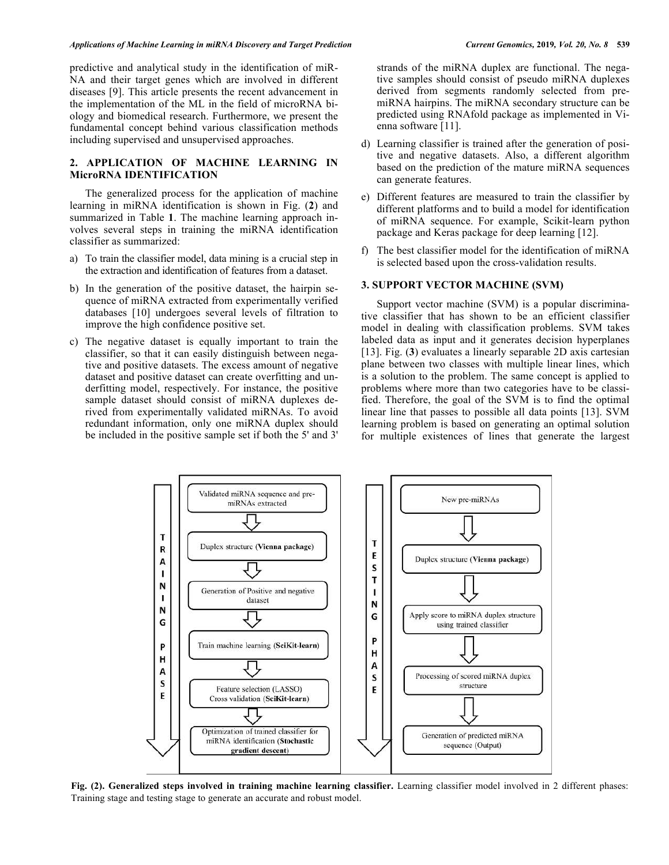predictive and analytical study in the identification of miR-NA and their target genes which are involved in different diseases [9]. This article presents the recent advancement in the implementation of the ML in the field of microRNA biology and biomedical research. Furthermore, we present the fundamental concept behind various classification methods including supervised and unsupervised approaches.

## **2. APPLICATION OF MACHINE LEARNING IN MicroRNA IDENTIFICATION**

The generalized process for the application of machine learning in miRNA identification is shown in Fig. (**2**) and summarized in Table **1**. The machine learning approach involves several steps in training the miRNA identification classifier as summarized:

- a) To train the classifier model, data mining is a crucial step in the extraction and identification of features from a dataset.
- b) In the generation of the positive dataset, the hairpin sequence of miRNA extracted from experimentally verified databases [10] undergoes several levels of filtration to improve the high confidence positive set.
- c) The negative dataset is equally important to train the classifier, so that it can easily distinguish between negative and positive datasets. The excess amount of negative dataset and positive dataset can create overfitting and underfitting model, respectively. For instance, the positive sample dataset should consist of miRNA duplexes derived from experimentally validated miRNAs. To avoid redundant information, only one miRNA duplex should be included in the positive sample set if both the 5' and 3'

strands of the miRNA duplex are functional. The negative samples should consist of pseudo miRNA duplexes derived from segments randomly selected from premiRNA hairpins. The miRNA secondary structure can be predicted using RNAfold package as implemented in Vienna software [11].

- d) Learning classifier is trained after the generation of positive and negative datasets. Also, a different algorithm based on the prediction of the mature miRNA sequences can generate features.
- e) Different features are measured to train the classifier by different platforms and to build a model for identification of miRNA sequence. For example, Scikit-learn python package and Keras package for deep learning [12].
- f) The best classifier model for the identification of miRNA is selected based upon the cross-validation results.

#### **3. SUPPORT VECTOR MACHINE (SVM)**

Support vector machine (SVM) is a popular discriminative classifier that has shown to be an efficient classifier model in dealing with classification problems. SVM takes labeled data as input and it generates decision hyperplanes [13]. Fig. (**3**) evaluates a linearly separable 2D axis cartesian plane between two classes with multiple linear lines, which is a solution to the problem. The same concept is applied to problems where more than two categories have to be classified. Therefore, the goal of the SVM is to find the optimal linear line that passes to possible all data points [13]. SVM learning problem is based on generating an optimal solution for multiple existences of lines that generate the largest



**Fig. (2). Generalized steps involved in training machine learning classifier.** Learning classifier model involved in 2 different phases: Training stage and testing stage to generate an accurate and robust model.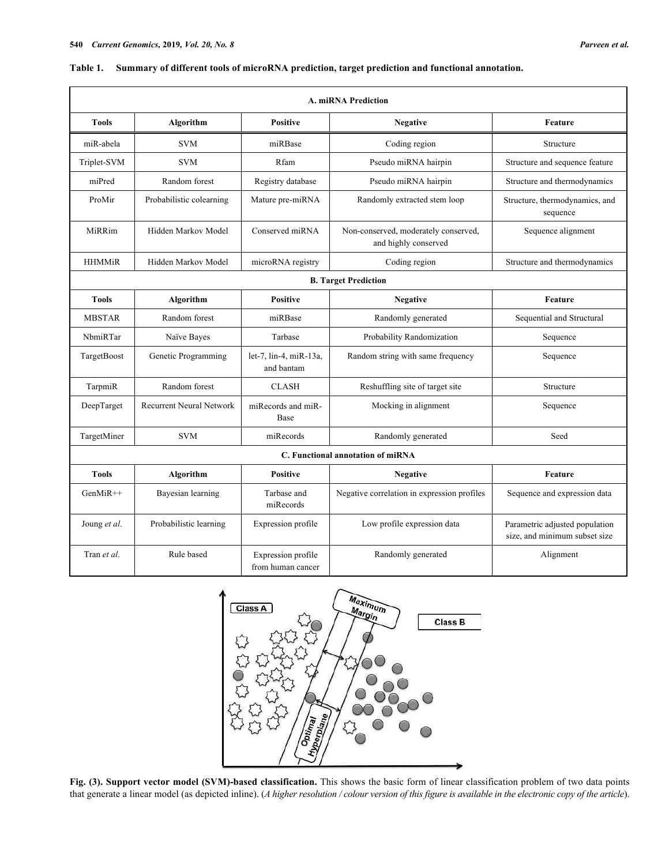| <b>A. miRNA Prediction</b>        |                                 |                                         |                                                              |                                                                 |  |
|-----------------------------------|---------------------------------|-----------------------------------------|--------------------------------------------------------------|-----------------------------------------------------------------|--|
| <b>Tools</b>                      | Algorithm                       | <b>Positive</b>                         | <b>Negative</b>                                              | <b>Feature</b>                                                  |  |
| miR-abela                         | <b>SVM</b>                      | miRBase                                 | Coding region                                                | Structure                                                       |  |
| Triplet-SVM                       | <b>SVM</b>                      | Rfam                                    | Pseudo miRNA hairpin                                         | Structure and sequence feature                                  |  |
| miPred                            | Random forest                   | Registry database                       | Pseudo miRNA hairpin                                         | Structure and thermodynamics                                    |  |
| ProMir                            | Probabilistic colearning        | Mature pre-miRNA                        | Randomly extracted stem loop                                 | Structure, thermodynamics, and<br>sequence                      |  |
| MiRRim                            | Hidden Markov Model             | Conserved miRNA                         | Non-conserved, moderately conserved,<br>and highly conserved | Sequence alignment                                              |  |
| <b>HHMMiR</b>                     | Hidden Markov Model             | microRNA registry                       | Coding region                                                | Structure and thermodynamics                                    |  |
| <b>B. Target Prediction</b>       |                                 |                                         |                                                              |                                                                 |  |
| <b>Tools</b>                      | Algorithm                       | <b>Positive</b>                         | <b>Negative</b>                                              | <b>Feature</b>                                                  |  |
| <b>MBSTAR</b>                     | Random forest                   | miRBase                                 | Randomly generated                                           | Sequential and Structural                                       |  |
| NbmiRTar                          | Naïve Bayes                     | Tarbase                                 | Probability Randomization                                    | Sequence                                                        |  |
| TargetBoost                       | Genetic Programming             | let-7, lin-4, miR-13a,<br>and bantam    | Random string with same frequency                            | Sequence                                                        |  |
| TarpmiR                           | Random forest                   | <b>CLASH</b>                            | Reshuffling site of target site                              | Structure                                                       |  |
| DeepTarget                        | <b>Recurrent Neural Network</b> | miRecords and miR-<br><b>Base</b>       | Mocking in alignment                                         | Sequence                                                        |  |
| TargetMiner                       | <b>SVM</b>                      | miRecords                               | Randomly generated                                           | Seed                                                            |  |
| C. Functional annotation of miRNA |                                 |                                         |                                                              |                                                                 |  |
| <b>Tools</b>                      | Algorithm                       | <b>Positive</b>                         | <b>Negative</b>                                              | <b>Feature</b>                                                  |  |
| $GenMiR++$                        | Bayesian learning               | Tarbase and<br>miRecords                | Negative correlation in expression profiles                  | Sequence and expression data                                    |  |
| Joung et al.                      | Probabilistic learning          | Expression profile                      | Low profile expression data                                  | Parametric adjusted population<br>size, and minimum subset size |  |
| Tran et al.                       | Rule based                      | Expression profile<br>from human cancer | Randomly generated                                           | Alignment                                                       |  |

## **Table 1. Summary of different tools of microRNA prediction, target prediction and functional annotation.**



**Fig. (3). Support vector model (SVM)-based classification.** This shows the basic form of linear classification problem of two data points that generate a linear model (as depicted inline). (*A higher resolution / colour version of this figure is available in the electronic copy of the article*).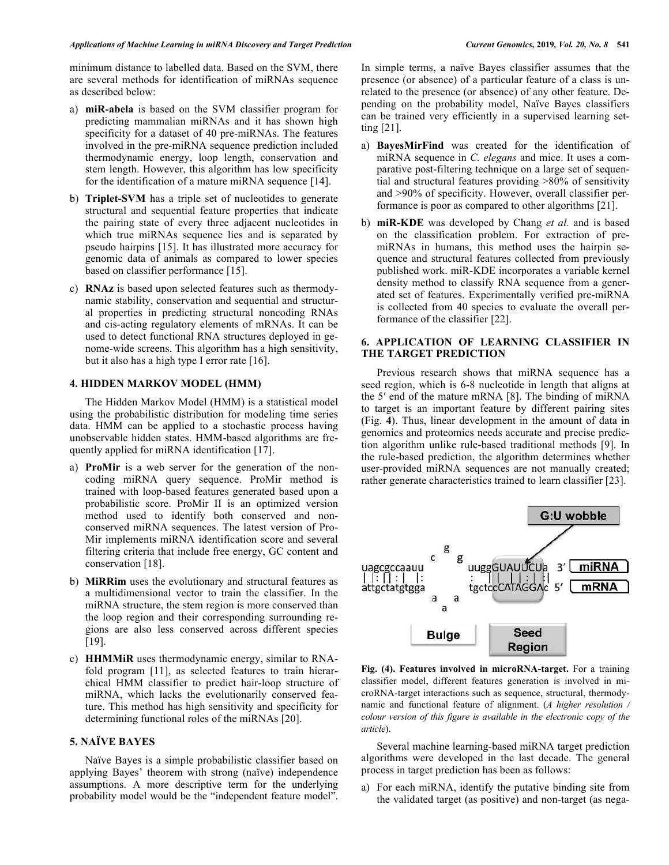minimum distance to labelled data. Based on the SVM, there are several methods for identification of miRNAs sequence as described below:

- a) **miR-abela** is based on the SVM classifier program for predicting mammalian miRNAs and it has shown high specificity for a dataset of 40 pre-miRNAs. The features involved in the pre-miRNA sequence prediction included thermodynamic energy, loop length, conservation and stem length. However, this algorithm has low specificity for the identification of a mature miRNA sequence [14].
- b) **Triplet-SVM** has a triple set of nucleotides to generate structural and sequential feature properties that indicate the pairing state of every three adjacent nucleotides in which true miRNAs sequence lies and is separated by pseudo hairpins [15]. It has illustrated more accuracy for genomic data of animals as compared to lower species based on classifier performance [15].
- c) **RNAz** is based upon selected features such as thermodynamic stability, conservation and sequential and structural properties in predicting structural noncoding RNAs and cis-acting regulatory elements of mRNAs. It can be used to detect functional RNA structures deployed in genome-wide screens. This algorithm has a high sensitivity, but it also has a high type I error rate [16].

## **4. HIDDEN MARKOV MODEL (HMM)**

The Hidden Markov Model (HMM) is a statistical model using the probabilistic distribution for modeling time series data. HMM can be applied to a stochastic process having unobservable hidden states. HMM-based algorithms are frequently applied for miRNA identification [17].

- a) **ProMir** is a web server for the generation of the noncoding miRNA query sequence. ProMir method is trained with loop-based features generated based upon a probabilistic score. ProMir II is an optimized version method used to identify both conserved and nonconserved miRNA sequences. The latest version of Pro-Mir implements miRNA identification score and several filtering criteria that include free energy, GC content and conservation [18].
- b) **MiRRim** uses the evolutionary and structural features as a multidimensional vector to train the classifier. In the miRNA structure, the stem region is more conserved than the loop region and their corresponding surrounding regions are also less conserved across different species [19].
- c) **HHMMiR** uses thermodynamic energy, similar to RNAfold program [11], as selected features to train hierarchical HMM classifier to predict hair-loop structure of miRNA, which lacks the evolutionarily conserved feature. This method has high sensitivity and specificity for determining functional roles of the miRNAs [20].

## **5. NAÏVE BAYES**

Naïve Bayes is a simple probabilistic classifier based on applying Bayes' theorem with strong (naïve) independence assumptions. A more descriptive term for the underlying probability model would be the "independent feature model".

In simple terms, a naïve Bayes classifier assumes that the presence (or absence) of a particular feature of a class is unrelated to the presence (or absence) of any other feature. Depending on the probability model, Naïve Bayes classifiers can be trained very efficiently in a supervised learning setting [21].

- a) **BayesMirFind** was created for the identification of miRNA sequence in *C. elegans* and mice. It uses a comparative post-filtering technique on a large set of sequential and structural features providing >80% of sensitivity and >90% of specificity. However, overall classifier performance is poor as compared to other algorithms [21].
- b) **miR-KDE** was developed by Chang *et al.* and is based on the classification problem. For extraction of premiRNAs in humans, this method uses the hairpin sequence and structural features collected from previously published work. miR-KDE incorporates a variable kernel density method to classify RNA sequence from a generated set of features. Experimentally verified pre-miRNA is collected from 40 species to evaluate the overall performance of the classifier [22].

#### **6. APPLICATION OF LEARNING CLASSIFIER IN THE TARGET PREDICTION**

Previous research shows that miRNA sequence has a seed region, which is 6-8 nucleotide in length that aligns at the 5′ end of the mature mRNA [8]. The binding of miRNA to target is an important feature by different pairing sites (Fig. **4**). Thus, linear development in the amount of data in genomics and proteomics needs accurate and precise prediction algorithm unlike rule-based traditional methods [9]. In the rule-based prediction, the algorithm determines whether user-provided miRNA sequences are not manually created; rather generate characteristics trained to learn classifier [23].



**Fig. (4). Features involved in microRNA-target.** For a training classifier model, different features generation is involved in microRNA-target interactions such as sequence, structural, thermodynamic and functional feature of alignment. (*A higher resolution / colour version of this figure is available in the electronic copy of the article*).

Several machine learning-based miRNA target prediction algorithms were developed in the last decade. The general process in target prediction has been as follows:

a) For each miRNA, identify the putative binding site from the validated target (as positive) and non-target (as nega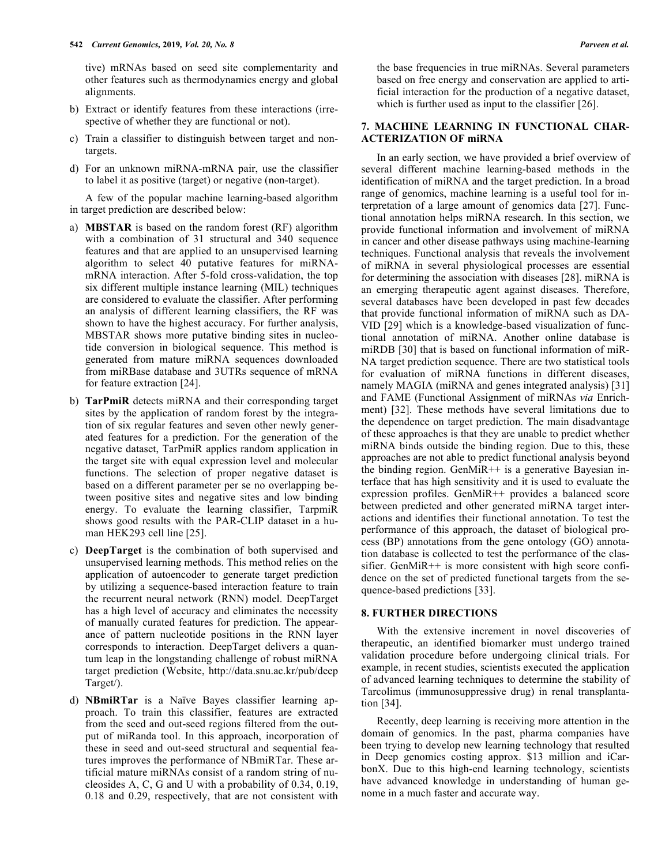tive) mRNAs based on seed site complementarity and other features such as thermodynamics energy and global alignments.

- b) Extract or identify features from these interactions (irrespective of whether they are functional or not).
- c) Train a classifier to distinguish between target and nontargets.
- d) For an unknown miRNA-mRNA pair, use the classifier to label it as positive (target) or negative (non-target).

A few of the popular machine learning-based algorithm in target prediction are described below:

- a) **MBSTAR** is based on the random forest (RF) algorithm with a combination of 31 structural and 340 sequence features and that are applied to an unsupervised learning algorithm to select 40 putative features for miRNAmRNA interaction. After 5-fold cross-validation, the top six different multiple instance learning (MIL) techniques are considered to evaluate the classifier. After performing an analysis of different learning classifiers, the RF was shown to have the highest accuracy. For further analysis, MBSTAR shows more putative binding sites in nucleotide conversion in biological sequence. This method is generated from mature miRNA sequences downloaded from miRBase database and 3UTRs sequence of mRNA for feature extraction [24].
- b) **TarPmiR** detects miRNA and their corresponding target sites by the application of random forest by the integration of six regular features and seven other newly generated features for a prediction. For the generation of the negative dataset, TarPmiR applies random application in the target site with equal expression level and molecular functions. The selection of proper negative dataset is based on a different parameter per se no overlapping between positive sites and negative sites and low binding energy. To evaluate the learning classifier, TarpmiR shows good results with the PAR-CLIP dataset in a human HEK293 cell line [25].
- c) **DeepTarget** is the combination of both supervised and unsupervised learning methods. This method relies on the application of autoencoder to generate target prediction by utilizing a sequence-based interaction feature to train the recurrent neural network (RNN) model. DeepTarget has a high level of accuracy and eliminates the necessity of manually curated features for prediction. The appearance of pattern nucleotide positions in the RNN layer corresponds to interaction. DeepTarget delivers a quantum leap in the longstanding challenge of robust miRNA target prediction (Website, http://data.snu.ac.kr/pub/deep Target/).
- d) **NBmiRTar** is a Naïve Bayes classifier learning approach. To train this classifier, features are extracted from the seed and out-seed regions filtered from the output of miRanda tool. In this approach, incorporation of these in seed and out-seed structural and sequential features improves the performance of NBmiRTar. These artificial mature miRNAs consist of a random string of nucleosides A, C, G and U with a probability of 0.34, 0.19, 0.18 and 0.29, respectively, that are not consistent with

the base frequencies in true miRNAs. Several parameters based on free energy and conservation are applied to artificial interaction for the production of a negative dataset, which is further used as input to the classifier [26].

## **7. MACHINE LEARNING IN FUNCTIONAL CHAR-ACTERIZATION OF miRNA**

In an early section, we have provided a brief overview of several different machine learning-based methods in the identification of miRNA and the target prediction. In a broad range of genomics, machine learning is a useful tool for interpretation of a large amount of genomics data [27]. Functional annotation helps miRNA research. In this section, we provide functional information and involvement of miRNA in cancer and other disease pathways using machine-learning techniques. Functional analysis that reveals the involvement of miRNA in several physiological processes are essential for determining the association with diseases [28]. miRNA is an emerging therapeutic agent against diseases. Therefore, several databases have been developed in past few decades that provide functional information of miRNA such as DA-VID [29] which is a knowledge-based visualization of functional annotation of miRNA. Another online database is miRDB [30] that is based on functional information of miR-NA target prediction sequence. There are two statistical tools for evaluation of miRNA functions in different diseases, namely MAGIA (miRNA and genes integrated analysis) [31] and FAME (Functional Assignment of miRNAs *via* Enrichment) [32]. These methods have several limitations due to the dependence on target prediction. The main disadvantage of these approaches is that they are unable to predict whether miRNA binds outside the binding region. Due to this, these approaches are not able to predict functional analysis beyond the binding region. GenMiR $++$  is a generative Bayesian interface that has high sensitivity and it is used to evaluate the expression profiles. GenMiR++ provides a balanced score between predicted and other generated miRNA target interactions and identifies their functional annotation. To test the performance of this approach, the dataset of biological process (BP) annotations from the gene ontology (GO) annotation database is collected to test the performance of the classifier. GenMiR++ is more consistent with high score confidence on the set of predicted functional targets from the sequence-based predictions [33].

## **8. FURTHER DIRECTIONS**

With the extensive increment in novel discoveries of therapeutic, an identified biomarker must undergo trained validation procedure before undergoing clinical trials. For example, in recent studies, scientists executed the application of advanced learning techniques to determine the stability of Tarcolimus (immunosuppressive drug) in renal transplantation [34].

Recently, deep learning is receiving more attention in the domain of genomics. In the past, pharma companies have been trying to develop new learning technology that resulted in Deep genomics costing approx. \$13 million and iCarbonX. Due to this high-end learning technology, scientists have advanced knowledge in understanding of human genome in a much faster and accurate way.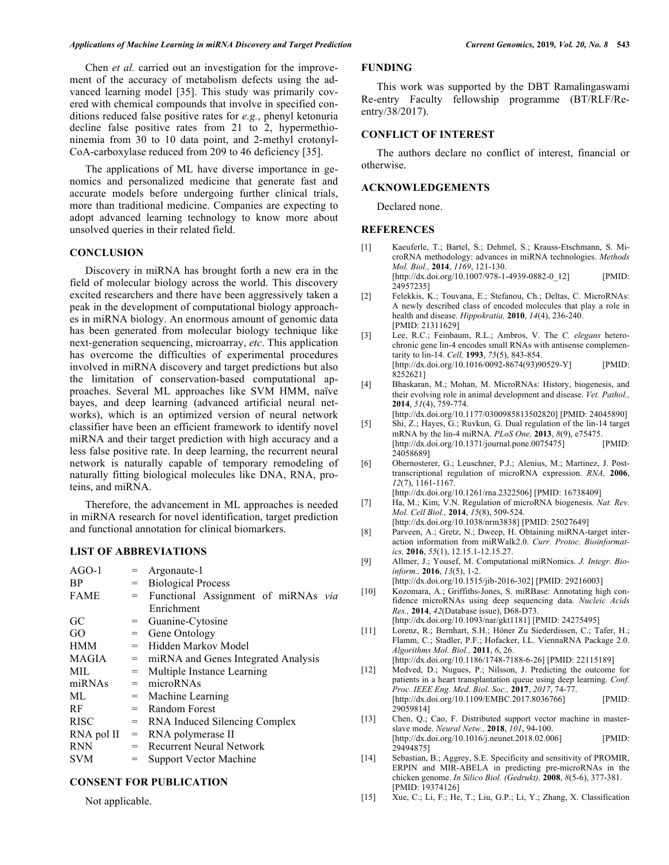Chen *et al.* carried out an investigation for the improvement of the accuracy of metabolism defects using the advanced learning model [35]. This study was primarily covered with chemical compounds that involve in specified conditions reduced false positive rates for *e.g.*, phenyl ketonuria decline false positive rates from 21 to 2, hypermethioninemia from 30 to 10 data point, and 2-methyl crotonyl-CoA-carboxylase reduced from 209 to 46 deficiency [35].

The applications of ML have diverse importance in genomics and personalized medicine that generate fast and accurate models before undergoing further clinical trials, more than traditional medicine. Companies are expecting to adopt advanced learning technology to know more about unsolved queries in their related field.

#### **CONCLUSION**

Discovery in miRNA has brought forth a new era in the field of molecular biology across the world. This discovery excited researchers and there have been aggressively taken a peak in the development of computational biology approaches in miRNA biology. An enormous amount of genomic data has been generated from molecular biology technique like next-generation sequencing, microarray, *etc*. This application has overcome the difficulties of experimental procedures involved in miRNA discovery and target predictions but also the limitation of conservation-based computational approaches. Several ML approaches like SVM HMM, naïve bayes, and deep learning (advanced artificial neural networks), which is an optimized version of neural network classifier have been an efficient framework to identify novel miRNA and their target prediction with high accuracy and a less false positive rate. In deep learning, the recurrent neural network is naturally capable of temporary remodeling of naturally fitting biological molecules like DNA, RNA, proteins, and miRNA.

Therefore, the advancement in ML approaches is needed in miRNA research for novel identification, target prediction and functional annotation for clinical biomarkers.

#### **LIST OF ABBREVIATIONS**

| $AGO-1$      |     | Argonaute-1                             |  |  |
|--------------|-----|-----------------------------------------|--|--|
| <b>BP</b>    | $=$ | <b>Biological Process</b>               |  |  |
| <b>FAME</b>  | $=$ | Functional Assignment of miRNAs via     |  |  |
|              |     | Enrichment                              |  |  |
| GC           |     | Guanine-Cytosine                        |  |  |
| GO           |     | $=$ Gene Ontology                       |  |  |
| <b>HMM</b>   | $=$ | Hidden Markov Model                     |  |  |
| <b>MAGIA</b> |     | $=$ miRNA and Genes Integrated Analysis |  |  |
| MIL          | $=$ | Multiple Instance Learning              |  |  |
| miRNAs       | $=$ | microRNAs                               |  |  |
| ML           |     | $=$ Machine Learning                    |  |  |
| <b>RF</b>    |     | $=$ Random Forest                       |  |  |
| <b>RISC</b>  | $=$ | RNA Induced Silencing Complex           |  |  |
| RNA pol II   | $=$ | RNA polymerase II                       |  |  |
| <b>RNN</b>   | $=$ | <b>Recurrent Neural Network</b>         |  |  |
| <b>SVM</b>   | $=$ | <b>Support Vector Machine</b>           |  |  |

#### **CONSENT FOR PUBLICATION**

Not applicable.

## **FUNDING**

This work was supported by the DBT Ramalingaswami Re-entry Faculty fellowship programme (BT/RLF/Reentry/38/2017).

## **CONFLICT OF INTEREST**

The authors declare no conflict of interest, financial or otherwise.

#### **ACKNOWLEDGEMENTS**

Declared none.

#### **REFERENCES**

- [1] Kaeuferle, T.; Bartel, S.; Dehmel, S.; Krauss-Etschmann, S. MicroRNA methodology: advances in miRNA technologies. *Methods Mol. Biol.,* **2014**, *1169*, 121-130. [http://dx.doi.org/10.1007/978-1-4939-0882-0\_12] [PMID: 24957235]
- [2] Felekkis, K.; Touvana, E.; Stefanou, Ch.; Deltas, C. MicroRNAs: A newly described class of encoded molecules that play a role in health and disease. *Hippokratia,* **2010**, *14*(4), 236-240. [PMID: 21311629]
- [3] Lee, R.C.; Feinbaum, R.L.; Ambros, V. The *C. elegans* heterochronic gene lin-4 encodes small RNAs with antisense complementarity to lin-14. *Cell,* **1993**, *75*(5), 843-854. [http://dx.doi.org/10.1016/0092-8674(93)90529-Y] [PMID: 8252621]
- [4] Bhaskaran, M.; Mohan, M. MicroRNAs: History, biogenesis, and their evolving role in animal development and disease. *Vet. Pathol.,*  **2014**, *51*(4), 759-774.
- [http://dx.doi.org/10.1177/0300985813502820] [PMID: 24045890] [5] Shi, Z.; Hayes, G.; Ruvkun, G. Dual regulation of the lin-14 target
- mRNA by the lin-4 miRNA. *PLoS One,* **2013**, *8*(9), e75475.  $[http://dx.doi.org/10.1371/journal.pone.0075475]$ 24058689]
- [6] Obernosterer, G.; Leuschner, P.J.; Alenius, M.; Martinez, J. Posttranscriptional regulation of microRNA expression. *RNA,* **2006**, *12*(7), 1161-1167.
	- [http://dx.doi.org/10.1261/rna.2322506] [PMID: 16738409]
- [7] Ha, M.; Kim, V.N. Regulation of microRNA biogenesis. *Nat. Rev. Mol. Cell Biol.,* **2014**, *15*(8), 509-524. [http://dx.doi.org/10.1038/nrm3838] [PMID: 25027649]
- [8] Parveen, A.; Gretz, N.; Dweep, H. Obtaining miRNA-target interaction information from miRWalk2.0. *Curr. Protoc. Bioinformatics,* **2016**, *55*(1), 12.15.1-12.15.27.
- [9] Allmer, J.; Yousef, M. Computational miRNomics. *J. Integr. Bioinform.,* **2016**, *13*(5), 1-2.
- [http://dx.doi.org/10.1515/jib-2016-302] [PMID: 29216003] [10] Kozomara, A.; Griffiths-Jones, S. miRBase: Annotating high confidence microRNAs using deep sequencing data. *Nucleic Acids Res.,* **2014**, *42*(Database issue), D68-D73.
- [http://dx.doi.org/10.1093/nar/gkt1181] [PMID: 24275495] [11] Lorenz, R.; Bernhart, S.H.; Höner Zu Siederdissen, C.; Tafer, H.; Flamm, C.; Stadler, P.F.; Hofacker, I.L. ViennaRNA Package 2.0.
- *Algorithms Mol. Biol.,* **2011**, *6*, 26. [http://dx.doi.org/10.1186/1748-7188-6-26] [PMID: 22115189]
- [12] Medved, D.; Nugues, P.; Nilsson, J. Predicting the outcome for patients in a heart transplantation queue using deep learning. *Conf. Proc. IEEE Eng. Med. Biol. Soc.,* **2017**, *2017*, 74-77. [http://dx.doi.org/10.1109/EMBC.2017.8036766] [PMID: 29059814]
- [13] Chen, Q.; Cao, F. Distributed support vector machine in masterslave mode. *Neural Netw.,* **2018**, *101*, 94-100. [http://dx.doi.org/10.1016/j.neunet.2018.02.006] [PMID: 29494875]
- [14] Sebastian, B.; Aggrey, S.E. Specificity and sensitivity of PROMIR, ERPIN and MIR-ABELA in predicting pre-microRNAs in the chicken genome. *In Silico Biol. (Gedrukt),* **2008**, *8*(5-6), 377-381. [PMID: 19374126]
- [15] Xue, C.; Li, F.; He, T.; Liu, G.P.; Li, Y.; Zhang, X. Classification